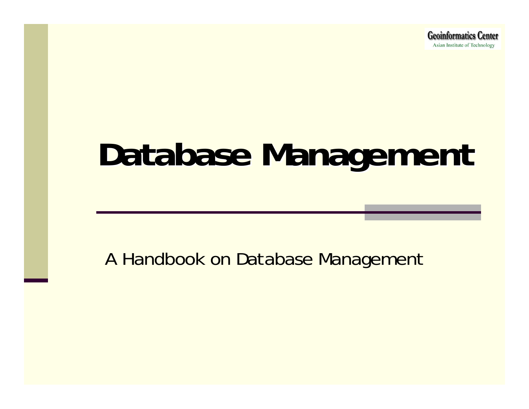# **Database Management Database Management**

A Handbook on Database Management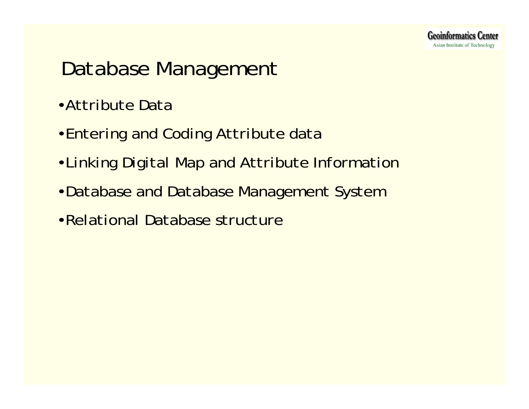## *Database Management*

- •*Attribute Data*
- •*Entering and Coding Attribute data*
- •*Linking Digital Map and Attribute Information*
- •*Database and Database Management System*
- •*Relational Database structure*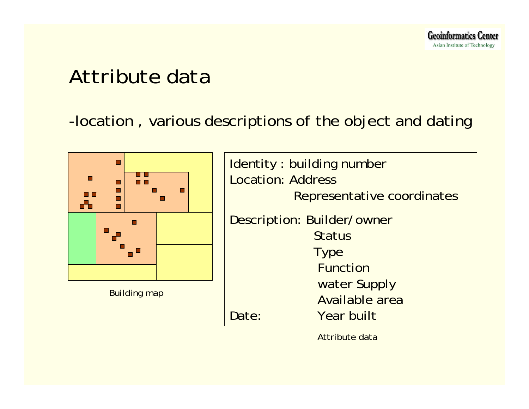## *Attribute data*

## -location , various descriptions of the object and dating



| <b>Identity: building number</b> |
|----------------------------------|
| <b>Location: Address</b>         |
| Representative coordinates       |
| Description: Builder/owner       |
| <b>Status</b>                    |
| <b>Type</b>                      |
| <b>Function</b>                  |
| water Supply                     |
| <b>Available area</b>            |
| Year built<br>Date:              |

Attribute data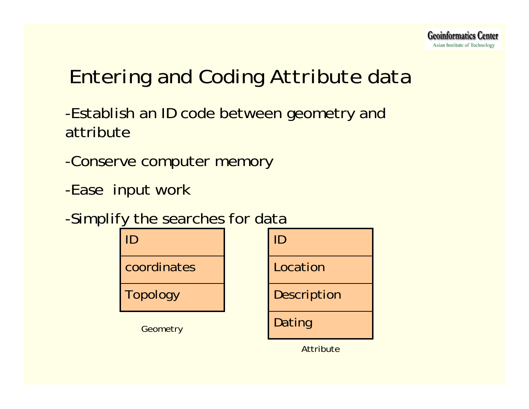## *Entering and Coding Attribute data*

-Establish an ID code between geometry and attribute

-Conserve computer memory

-Ease input work

-Simplify the searches for data



**Attribute**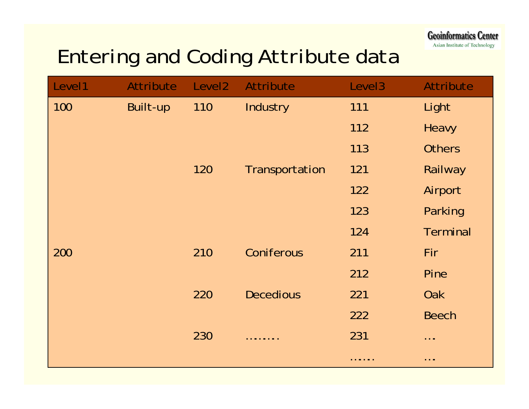**Geoinformatics Center** Asian Institute of Technology

## *Entering and Coding Attribute data*

| Level1 | Attribute | Level <sub>2</sub> | <b>Attribute</b> | Level <sub>3</sub> | <b>Attribute</b>                                                                                      |
|--------|-----------|--------------------|------------------|--------------------|-------------------------------------------------------------------------------------------------------|
| 100    | Built-up  | 110                | Industry         | 111                | Light                                                                                                 |
|        |           |                    |                  | 112                | <b>Heavy</b>                                                                                          |
|        |           |                    |                  | 113                | <b>Others</b>                                                                                         |
|        |           | 120                | Transportation   | 121                | Railway                                                                                               |
|        |           |                    |                  | 122                | Airport                                                                                               |
|        |           |                    |                  | 123                | Parking                                                                                               |
|        |           |                    |                  | 124                | <b>Terminal</b>                                                                                       |
| 200    |           | 210                | Coniferous       | 211                | Fir                                                                                                   |
|        |           |                    |                  | 212                | Pine                                                                                                  |
|        |           | 220                | <b>Decedious</b> | 221                | <b>Oak</b>                                                                                            |
|        |           |                    |                  | 222                | <b>Beech</b>                                                                                          |
|        |           | 230                | .                | 231                | $\cdots$                                                                                              |
|        |           |                    |                  | .                  | $\begin{array}{cccccccccccccc} \bullet & \bullet & \bullet & \bullet & \bullet & \bullet \end{array}$ |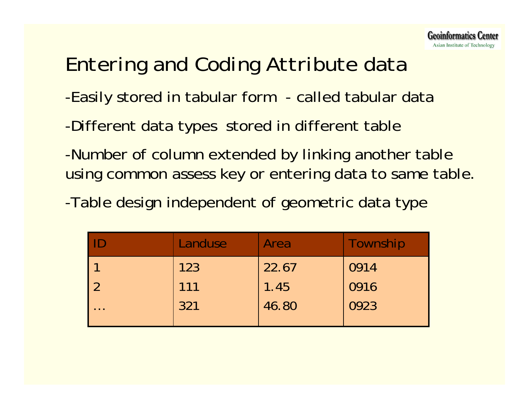## *Entering and Coding Attribute data*

- -Easily stored in tabular form called tabular data
- -Different data types stored in different table
- -Number of column extended by linking another table using common assess key or entering data to same table.
- -Table design independent of geometric data type

|                                                              | Landuse | Area          | Township |
|--------------------------------------------------------------|---------|---------------|----------|
|                                                              | 123     | 22.67         | 0914     |
|                                                              | 111     | 1.45<br>46.80 | 0916     |
| $\begin{array}{ccc} \bullet & \bullet & \bullet \end{array}$ | 321     |               | 0923     |
|                                                              |         |               |          |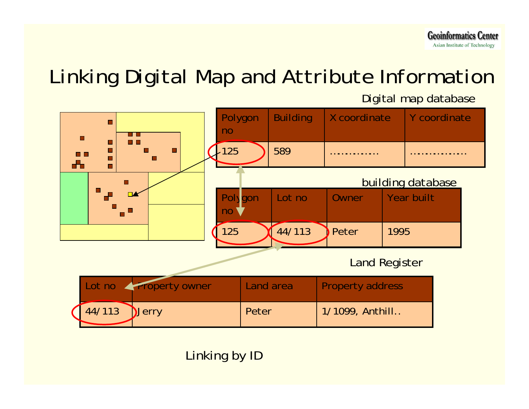## *Linking Digital Map and Attribute Information*

Digital map database



#### Linking by ID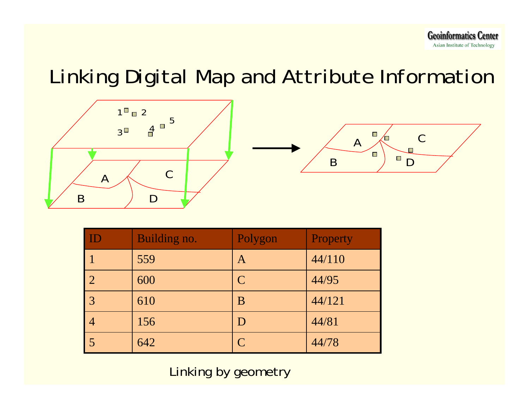## *Linking Digital Map and Attribute Information*



| ID             | Building no. | Polygon        | Property |
|----------------|--------------|----------------|----------|
|                | 559          | A              | 44/110   |
| $\overline{2}$ | 600          | $\mathsf{C}$   | 44/95    |
| $\overline{3}$ | 610          | $\bf{B}$       | 44/121   |
|                | 156          | D              | 44/81    |
|                | 642          | $\overline{C}$ | 44/78    |

Linking by geometry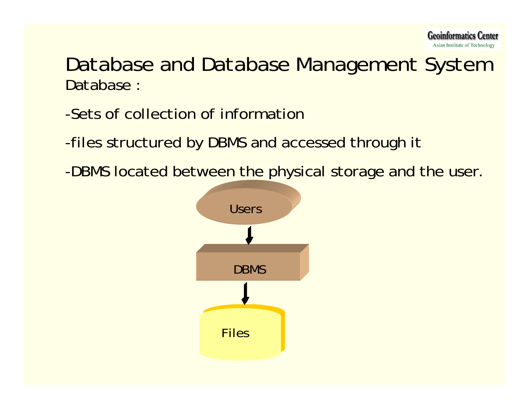

## *Database and Database Management System* Database :

## -Sets of collection of information

-files structured by DBMS and accessed through it

-DBMS located between the physical storage and the user.

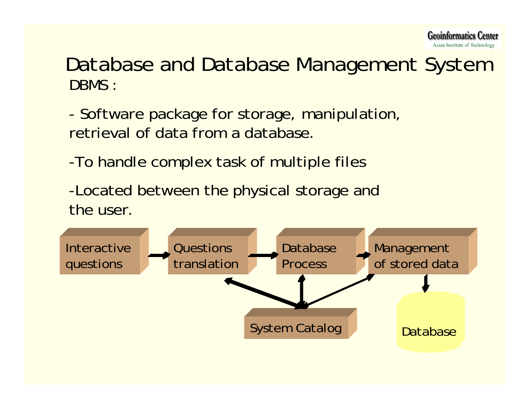

## DBMS :*Database and Database Management System*

- Software package for storage, manipulation, retrieval of data from a database.

-To handle complex task of multiple files

-Located between the physical storage and the user.

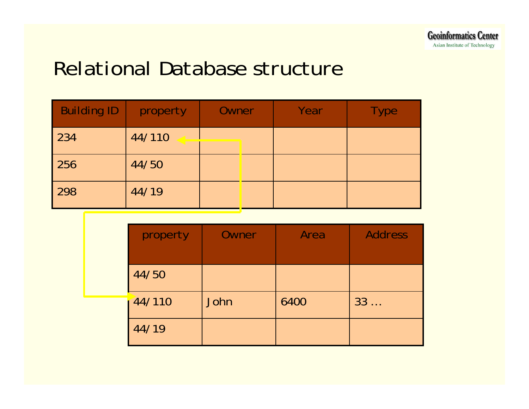## *Relational Database structure*

| <b>Building ID</b> | property | Owner | Year | <b>Type</b> |
|--------------------|----------|-------|------|-------------|
| 234                | 44/110   |       |      |             |
| 256                | 44/50    |       |      |             |
| 298                | 44/19    |       |      |             |

| property | Owner | Area | <b>Address</b> |
|----------|-------|------|----------------|
|          |       |      |                |
| 44/50    |       |      |                |
| 44/110   | John  | 6400 | 33             |
| 44/19    |       |      |                |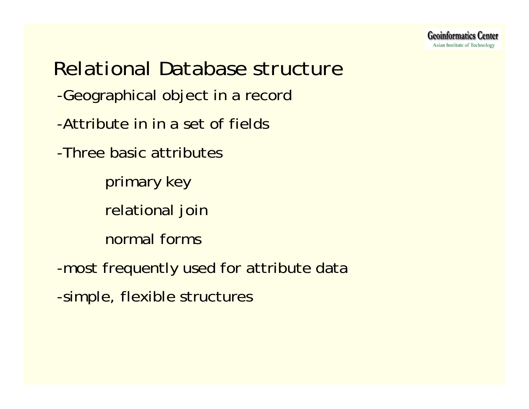-Geographical object in a record -Attribute in in a set of fields-Three basic attributesprimary key relational join normal forms-most frequently used for attribute data -simple, flexible structures *Relational Database structure*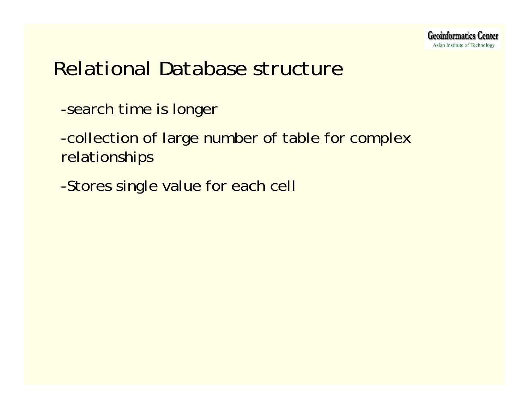## *Relational Database structure*

- -search time is longer
- -collection of large number of table for complex relationships
- -Stores single value for each cell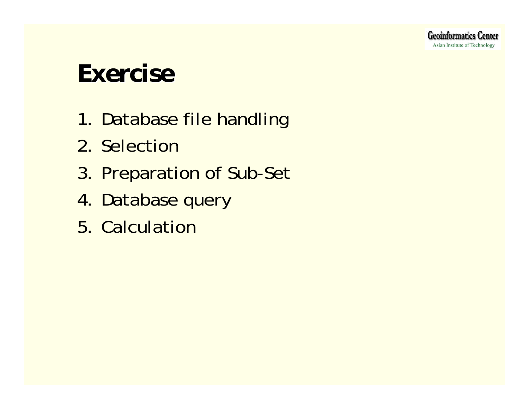## *Exercise Exercise*

- 1. Database file handling
- 2. Selection
- 3. Preparation of Sub-Set
- 4. Database query
- 5. Calculation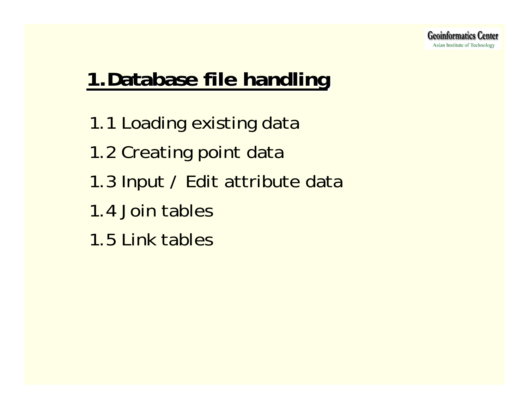## **1.Database file handling 1.Database file handling**

- 1.1 Loading existing data
- 1.2 Creating point data
- 1.3 Input / Edit attribute data
- 1.4 Join tables
- 1.5 Link tables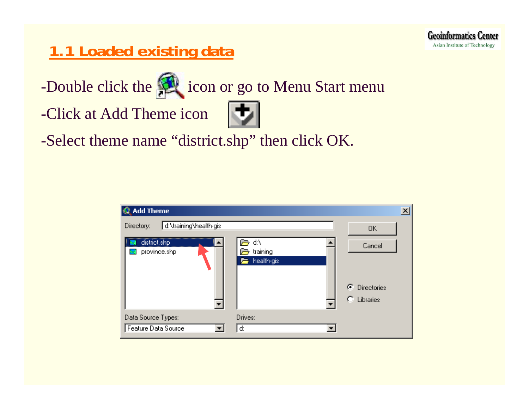## **1.1 Loaded existing data**

-Double click the **interval is a contact of the start menu** 

-Click at Add Theme icon



-Select theme name "district.shp" then click OK.

| <b>Add Theme</b>                     |                              |                                                     |
|--------------------------------------|------------------------------|-----------------------------------------------------|
| d:\training\health-gis<br>Directory: |                              | <b>OK</b>                                           |
| a district.shp<br>.<br>province.shp  | ď۸<br>training<br>health-gis | Cancel<br>G<br><b>Directories</b><br>о<br>Libraries |
| Data Source Types:                   | Drives:                      |                                                     |
| Feature Data Source                  | d:                           |                                                     |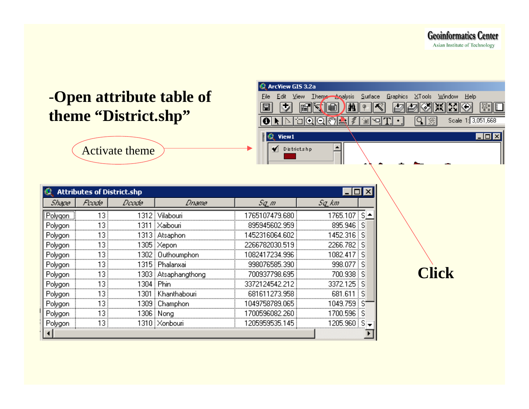**Geoinformatics Center** Asian Institute of Technology

**Click**

#### -**Open attribute table of theme "District.shp"**



Activate theme

|                | <b>Attributes of District.shp</b> |             |                       |                |            |  |  |
|----------------|-----------------------------------|-------------|-----------------------|----------------|------------|--|--|
| Shape          | Poode                             | Doode       | <u> Dname</u>         | Sq_m           | Sq_km      |  |  |
| Polygon        | 13                                |             | 1312   Vilabouri      | 1765107479.680 | 1765.107   |  |  |
| Polygon        | 13                                | 1311 E      | Xaibouri              | 895945602.959  | 895.946    |  |  |
| Polygon        | 13                                |             | 1313   Atsaphon       | 1452316064.602 | 1452.316   |  |  |
| Polygon        | 13                                |             | 1305   Xepon          | 2266782030.519 | 2266.782   |  |  |
| Polygon        | 13                                |             | 1302 Duthoumphon      | 1082417234.996 | 1082.4     |  |  |
| Polygon        | 13                                |             | 1315 : Phalanxai      | 998076585.390  | 998.077    |  |  |
| Polygon        | 13                                |             | 1303   Atsaphangthong | 700937798.695  | 700.938    |  |  |
| <u>Polygon</u> | 13                                | 1304 i Phin |                       | 3372124542.212 | 3372.125   |  |  |
| Polygon        | 13                                |             | 1301 i Khanthabouri   | 681611273.958  | 681.<br>Б. |  |  |
| Polygon        | 13                                |             | 1309 : Champhon       | 1049758789.065 | 1049.759   |  |  |
| <u>Polygon</u> | 13                                |             | 1306 Nong             | 1700596082.260 | 1700.596   |  |  |
| Polygon        |                                   |             | Xonbour               | 1205959535.145 | 205.960    |  |  |
|                |                                   |             |                       |                |            |  |  |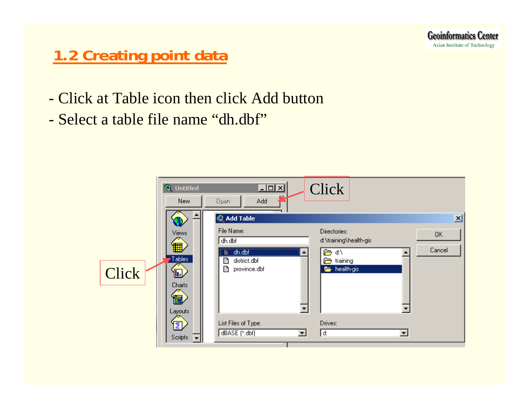## **1.2 Creating point data**

- Click at Table icon then click Add button
- Select a table file name "dh.dbf"

|       | <b>使</b> Untitled<br><b>New</b>                      | 그미지<br>Add<br>Open<br>@ Add Table                                   | Click                                                                          | 図            |
|-------|------------------------------------------------------|---------------------------------------------------------------------|--------------------------------------------------------------------------------|--------------|
| Click | Views<br>囲<br>Tables<br>h)<br>Charts<br>帯<br>Layouts | File Name:<br>dh.dbf<br>dh.dbf<br>district.dbf<br>province.dbf<br>B | Directories:<br>d:\training\health-gis<br>⋐<br>d:\<br>a training<br>health-gis | 0K<br>Cancel |
|       | ī<br>Scripts                                         | List Files of Type:<br>dBASE (*.dbf)<br>$\blacktriangledown$        | Drives:<br>d:<br>▾                                                             |              |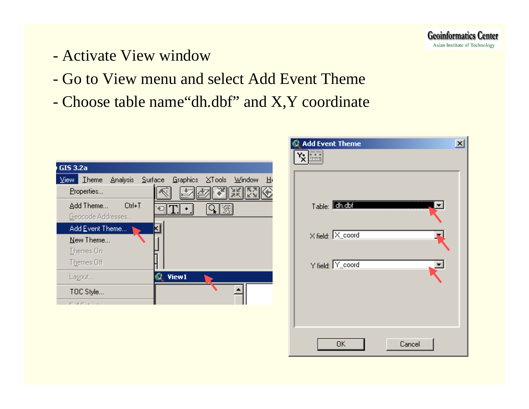

- Activate View window
- Go to View menu and select Add Event Theme
- Choose table name"dh.dbf" and X,Y coordinate

| GIS 3.2a                                  |             |                              |        |        |   |
|-------------------------------------------|-------------|------------------------------|--------|--------|---|
| <b>Iheme</b><br><b>Analysis</b><br>⊻iew i | Surface     | <b>Graphics</b>              | XTools | Window | 田 |
| Properties                                |             | $rac{1}{2}$<br><b>Xillip</b> |        |        |   |
| Add Theme<br>Geocode Addresses            | Ctrl+T<br>€ |                              |        |        |   |
| Add Event Theme                           |             |                              |        |        |   |
| New Theme                                 |             |                              |        |        |   |
| Themes On                                 |             |                              |        |        |   |
| Themes Off                                |             |                              |        |        |   |
| Layout                                    |             | View1                        |        |        |   |
| TOC Style                                 |             |                              |        |        |   |
| ----                                      |             |                              |        |        |   |

| <b>Add Event Theme</b>    | $\boldsymbol{\mathsf{x}}$ |
|---------------------------|---------------------------|
|                           |                           |
|                           |                           |
|                           |                           |
|                           |                           |
| Table: <b>Ch.Cbimmung</b> |                           |
|                           |                           |
|                           |                           |
| X field: X coord          |                           |
|                           |                           |
| Y field: Y_coord          |                           |
|                           |                           |
|                           |                           |
|                           |                           |
|                           |                           |
|                           |                           |
|                           |                           |
| ОK<br>Cancel              |                           |
|                           |                           |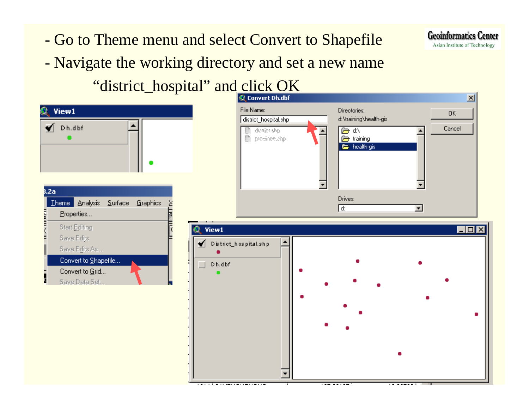- Go to Theme menu and select Convert to Shapefile
- Navigate the working directory and set a new name



View1

 $\blacktriangleright$  Dh.dbf

**B.2a** 



**Geoinformatics Center** Asian Institute of Technology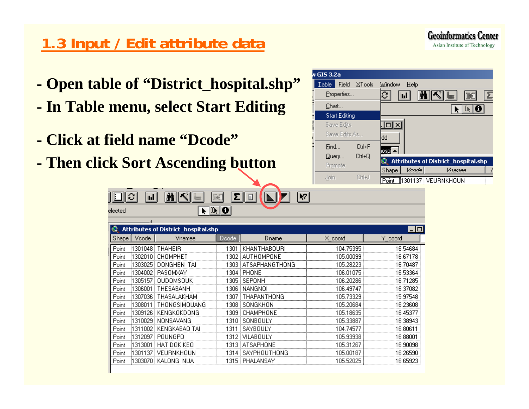## **1.3 Input / Edit attribute data**

- **- Open table of "District\_hospital.shp"**
- **- In Table menu, select Start Editing**
- **- Click at field name "Dcode"**

∥≎

elected

**- Then click Sort Ascending button** 

 $\boxed{\mathbf{M}}$ 

MKIL



**Geoinformatics Center** Asian Institute of Technology

|       |         | <b>Attributes of District_hospital.shp</b> |       |                  |           |          |
|-------|---------|--------------------------------------------|-------|------------------|-----------|----------|
| Shape | Vcode   | Vnamee                                     | Dcode | Dname            | X_coord   | Y coord  |
| Point | 1301048 | <b>THAHEIR</b>                             | 301   | KHANTHABOURI     | 104.75395 | 16.54684 |
| Point | 1302010 | CHOMPHET                                   | 302   | AUTHOMPONE       | 105.00099 | 16.67178 |
| Point | 1303025 | TAI<br>DONGHEN                             | 1303. | ATSAPHANGTHONG   | 105.28223 | 16.70487 |
| Point | 1304002 | <b>PASOMXAY</b>                            | 1304  | PHONE            | 106.01075 | 16.53364 |
| Point | 1305157 | OUDOMSOUK                                  | 1305  | <b>SEPONH</b>    | 106.20286 | 16.71285 |
| Point | 1306001 | THESABANH                                  | 1306  | NANGNOI          | 106.49747 | 16,37082 |
| Point | 1307036 | THASALAKHAM                                | 1307  | THAPANTHONG      | 105.73329 | 15,97548 |
| Point | 1308011 | THONGSIMOLIANG                             | 1308  | SONGKHON         | 105.20684 | 16,23608 |
| Point | 1309126 | KENGKOKDONG                                | 1309  | CHAMPHONE        | 105.18635 | 16.45377 |
| Point | 1310029 | NONSAVANG                                  | 1310  | SONBOULY         | 105.33887 | 16.38943 |
| Point | 1311002 | KENGKABAO TAI                              | 1311  | SAYBOULY         | 104.74577 | 16.80611 |
| Point | 1312097 | POUNGPO                                    |       | 1312   VILABOULY | 105.93938 | 16.88001 |
| Point | 1313001 | HAT DOK KEO                                |       | 1313 : ATSAPHONE | 105.31267 | 16.90098 |
| Point | 1301137 | VEURNKHOUN                                 | 1314  | SAYPHOUTHONG     | 105.00187 | 16.26590 |
| Point |         | i1303070 i KALONG NUA                      |       | 1315 i PHALANSAY | 105.52025 | 16.65923 |
|       |         |                                            |       |                  |           |          |

İL

 $\overline{R}$ 

 $\boxed{2}$ 

œ

 $\sqrt{1+\left|\mathbf{0}\right|}$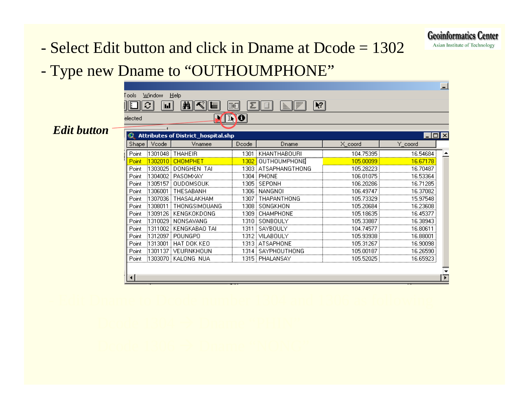**Geoinformatics Center** Asian Institute of Technology

## - Select Edit button and click in Dname at Dcode = 1302

#### Type new Dname to "OUTHOUMPHONE"

| `ools:    | Window | Help                                       |              |                         |           |                   |
|-----------|--------|--------------------------------------------|--------------|-------------------------|-----------|-------------------|
|           | il I   | 僵<br>m                                     | ▓<br>m       | V <br>4 P<br>▦<br>llin. |           |                   |
| elected   |        |                                            | $\mathbf{D}$ |                         |           |                   |
|           |        |                                            |              |                         |           |                   |
| <b>RD</b> |        | <b>Attributes of District_hospital.shp</b> |              |                         |           | $\Box$ o $\times$ |
| Shape     | Vcode  | Vnamee                                     | Dcode        | Dname                   | X_coord   | Y_coord           |
| Point     |        | 1301048 THAHEIR                            |              | 1301   KHANTHABOURI     | 104.75395 | 16.54684          |
| Point     |        |                                            | 1302         | OUTHOUMPHONE            | 105,00099 | 16.67178          |
| Point     |        | 1303025 DONGHEN TAI                        |              | 1303 : ATSAPHANGTHONG   | 105.28223 | 16.70487          |
| Point     |        | 1304002 PASOMXAY                           |              | 1304 i PHONE            | 106.01075 | 16.53364          |
| Point     |        | 1305157 : OUDOMSOUK                        |              | 1305 i SEPONH           | 106.20286 | 16.71285          |
| Point     |        | 1306001 THESABANH                          |              | 1306   NANGNOI          | 106.49747 | 16.37082          |
| Point     |        | 1307036 THASALAKHAM                        |              | 1307 : THAPANTHONG      | 105.73329 | 15.97548          |
| Point     |        | 1308011 THONGSIMOUANG                      |              | 1308 i SONGKHON         | 105.20684 | 16.23608          |
| Point     |        | 1309126 : KENGKOKDONG                      |              | 1309 : CHAMPHONE        | 105.18635 | 16.45377          |
| Point     |        | (1310029) NONSAVANG                        |              | 1310 i SONBOULY         | 105.33887 | 16.38943          |
| Point     |        | 1311002 KENGKABAO TAI                      |              | 1311 SAYBOULY           | 104.74577 | 16.80611          |
| Point     |        | 1312097 POUNGPO                            |              | 1312 i VILABOULY        | 105.93938 | 16.88001          |
| Point     |        | 1313001 HAT DOK KEO                        |              | 1313 : ATSAPHONE        | 105.31267 | 16.90098          |
| Point     |        | 1301137 VEURNKHOUN                         |              | 1314 i SAYPHOUTHONG     | 105.00187 | 16.26590          |
| Point     |        | 1303070 KALONG NUA                         |              | 1315 i PHALANSAY        | 105.52025 | 16.65923          |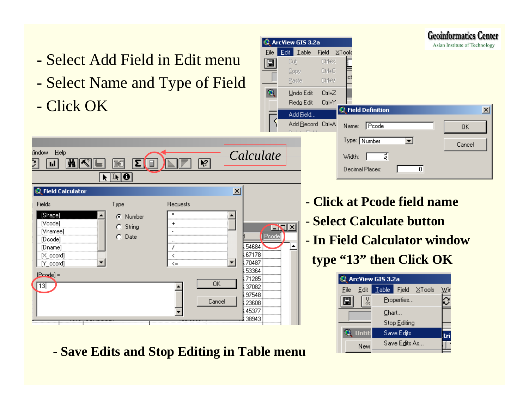- Select Add Field in Edit menu
- Select Name and Type of Field

 $\boxed{\mathbf{E}}$   $\boxed{\mathbf{I}}$ 

**INGER** 

- Click OK

MKI.

Zindow Help

in |



 $\sqrt{1 + \theta}$ **C** Field Calculator  $\vert x \vert$ Fields Type Requests [Shape] C Number **N**codel  $\ddot{}$ **NIX**  $C$  String **N**nameel  $\sim$ Pcode  $C$  Date [Dcode] 54684 [Dname] J. 67178  $[X$  coord] ≺  $\blacktriangledown$ 70487  $[Y]$  coord] ▼  $\lt =$ 53364  $[Poode] =$ 71285 **OK**  $13$ 37082 97548 Cancel 23608 45377 38943

 $|\mathbf{F}|$ 

厚

量

**- Save Edits and Stop Editing in Table menu**

- **Click at Pcode field name**- **Select Calculate button** - **In Field Calculator windowtype "13" then Click OK**

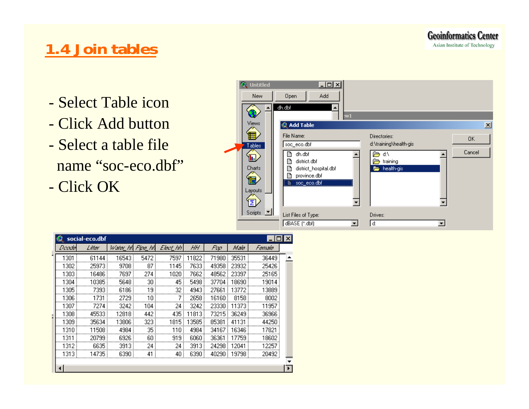## **1.4 Join tables**

- Select Table icon
- Click Add button
- Select a table file name "soc-eco.dbf"
- Click OK

| <b><i>O</i></b> Untitled<br><b>New</b>                                                          | <u> 디미지</u><br>Open<br>Add                                                                                                                                                               |                                                                                                          |                               |
|-------------------------------------------------------------------------------------------------|------------------------------------------------------------------------------------------------------------------------------------------------------------------------------------------|----------------------------------------------------------------------------------------------------------|-------------------------------|
| <b>Views</b><br>▦<br>Tables<br>h,<br>Charts<br>體<br>Layouts <sup>®</sup><br>M<br>Scripts $\Box$ | dh.dbf<br>:w1<br>愛 Add Table<br>File Name:<br>soc_eco.dbf<br>dh.dbf<br>district.dbf<br>district_hospital.dbf<br>province.dbf<br>soc_eco.dbf<br>鑿<br>List Files of Type:<br>dBASE (*.dbf) | Directories:<br>d:\training\health-gis<br>ď۸<br>æ.,<br>training<br>a<br>health-gis<br>=<br>Drives:<br>d: | $\mathbf{x}$<br>OK.<br>Cancel |

|           | social-eco.dbf |           |         |          |       |       |       |        |  |
|-----------|----------------|-----------|---------|----------|-------|-------|-------|--------|--|
| Doodel    | Litter         | Water_hft | Fipe_hA | Elect_hh | HН    | Pap   | Nale  | Famala |  |
| 1301      | 61144          | 16543     | 5472    | 7597     | 11822 | 71980 | 35531 | 36449  |  |
| 1302      | 25973          | 9708      | 87      | 1145     | 7633  | 49358 | 23932 | 25426  |  |
| 1303      | 16486          | 7697      | 274     | 1020 i   | 7662  | 48562 | 23397 | 25165  |  |
| 1304      | 10385          | 5648      | 30      | 45       | 5498  | 37704 | 18690 | 19014  |  |
| 1305      | 7393           | 6186      | 19      | 32       | 4943  | 27661 | 13772 | 3889   |  |
| 1306      | 1731           | 2729      | 10      |          | 2658  | 16160 | 8158  | 8002   |  |
| 1307      | 7274           | 3242      | 104     | 24       | 3242  | 23330 | 11373 | 11957  |  |
| 1308<br>E | 45533          | 12818     | 442     | 435      | 11813 | 73215 | 36249 | 36966  |  |
| 1309      | 35634          | 13806     | 323     | 1815     | 13585 | 85381 | 41131 | 44250  |  |
| 1310.     | 11508          | 4984      | 35      | 110 i    | 4984  | 34167 | 16346 | 1782   |  |
| 1311      | 20799          | 6926      | 60 !    | 919      | 6060  | 36361 | 17759 | 18602  |  |
| 1312      | 6635           | 3913      | 24      | 24       | 3913  | 24298 | 12041 | 12257  |  |
| 1313      | 14735          | 6390      | 41      | 40       | 6390  | 40290 | 19798 | 20492  |  |
|           |                |           |         |          |       |       |       |        |  |
|           |                |           |         |          |       |       |       |        |  |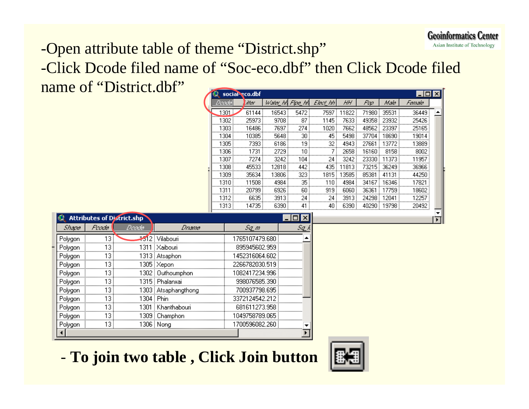#### -Open attribute table of theme "District.shp"

-Click Dcode filed name of "Soc-eco.dbf" then Click Dcode filed name of "District.dbf"

|          | social-eco.dbf |                  |      |                  |       |       |       |        | $\boldsymbol{\times}$ |
|----------|----------------|------------------|------|------------------|-------|-------|-------|--------|-----------------------|
| Doodel   | 'itter         | Water_hh Fipe_hh |      | Elec <u>t</u> hh | HН    | Fun   | Nale  | Famala |                       |
| 1301<br> | 61144          | 16543            | 5472 | 7597             | 11822 | 71980 | 35531 | 36449  |                       |
| 1302     | 25973          | 9708             | 87   | 1145             | 7633  | 49358 | 23932 | 25426  |                       |
| 1303     | 16486          | 7697             | 274  | 1020             | 7662  | 48562 | 23397 | 25165  |                       |
| 1304     | 10385          | 5648             | 30   | 45               | 5498  | 37704 | 18690 | 19014  |                       |
| 1305     | 7393           | 6186             | 19   | 32               | 4943  | 27661 | 13772 | 13889  |                       |
| 1306     | 1731           | 2729             | 10   | 7                | 2658  | 16160 | 8158  | 8002   |                       |
| 1307     | 7274           | 3242             | 104  | 24               | 3242  | 23330 | 11373 | 11957  |                       |
| 1308     | 45533          | 12818            | 442  | 435              | 11813 | 73215 | 36249 | 36966  |                       |
| 1309     | 35634          | 13806            | 323  | 1815             | 13585 | 85381 | 41131 | 44250  |                       |
| 1310.    | 11508          | 4984             | 35   | 110              | 4984  | 34167 | 16346 | 17821  |                       |
| 1311     | 20799          | 6926             | 60   | 919              | 6060  | 36361 | 17759 | 18602  |                       |
| 1312     | 6635           | 3913             | 24   | 24               | 3913  | 24298 | 12041 | 12257  |                       |
| 1313     | 14735          | 6390             | 41   | 40               | 6390  | 40290 | 19798 | 20492  |                       |

|         |       | <b>Attributes of District.shp</b> |                       |                |  |
|---------|-------|-----------------------------------|-----------------------|----------------|--|
| Shape   | Poode | Doode                             | <i>Dname</i>          | Sq_m           |  |
| Polygon | 13    |                                   | 312 Vilabouri         | 1765107479.680 |  |
| Polygon |       |                                   | Xaibouri              | 895945602.959  |  |
| Polygon | 13    |                                   | 1313   Atsaphon       | 1452316064.602 |  |
| Polygon | 13    |                                   | 1305   Xepon          | 2266782030.519 |  |
| Polygon | 13    |                                   | 1302 : Outhoumphon    | 1082417234.996 |  |
| Polygon |       |                                   | 1315 : Phalanxai      | 998076585,390  |  |
| Polygon |       |                                   | 1303   Atsaphangthong | 700937798.695  |  |
| Polygon | 13    |                                   | 304 Phin              | 3372124542.212 |  |
| Polygon |       | 301                               | Khanthabouri          | 681611273.958  |  |
| Polygon | 13    |                                   | 1309   Champhon       | 1049758789.065 |  |
| Polygon | 13    |                                   | 1306 i Nong           | 1700596082.260 |  |
|         |       |                                   |                       |                |  |

**To join two table , Click Join button**

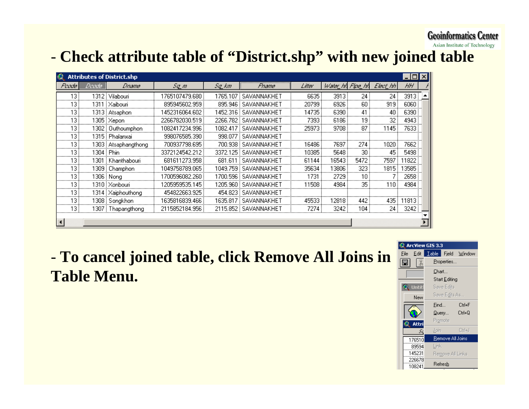#### **Geoinformatics Center**

Asian Institute of Technology

### **Check attribute table of "District.shp" with new joined table**

|        |       | <b>Attributes of District.shp</b> |                |          |                         |        |                  |      |          |        | ΙxΙ |
|--------|-------|-----------------------------------|----------------|----------|-------------------------|--------|------------------|------|----------|--------|-----|
| Poode) | Doode | <i>Dname</i>                      | Sq_m           | Sq_km    | Рпате                   | Litter | Water_hA Fipe_hA |      | Elect hh | HН     |     |
| 13.    |       | 1312   Vilabouri                  | 1765107479.680 | 1765.107 | <b>SAVANNAKHET</b>      | 6635   | 3913             | 24   | 24       | 3913   |     |
| 13     |       | 1311 : Xaibouri                   | 895945602.959  |          | 895.946 SAVANNAKHET     | 20799  | 6926             | 60   | 919      | 6060   |     |
| 13     |       | 1313 Atsaphon                     | 1452316064.602 |          | 1452.316   SAVANNAKHE 1 | 14735  | 6390             | 41   | 40       | 6390   |     |
| 13     |       | 1305 Xepon                        | 2266782030.519 | 2266.782 | SAVANNAKHET             | 7393   | 6186             | 19   | 32       | 4943   |     |
| 13     |       | 1302   Outhoumphon                | 1082417234.996 |          | 1082.417 SAVANNAKHET    | 25973  | 9708             | 87   | 1145     | 7633 ! |     |
| 13     |       | 1315 : Phalanxai                  | 998076585.390  | 998.077  | SAVANNAKHET             |        |                  |      |          |        |     |
| 13     |       | 1303   Atsaphangthong             | 700937798.695  | 700.938  | SAVANNAKHET             | 16486  | 7697             | 274  | 1020     | 7662   |     |
| 13     |       | 1304 : Phin                       | 3372124542.212 | 3372.125 | SAVANNAKHET             | 10385  | 5648             | 30   | 45       | 5498   |     |
| 13     |       | 1301 : Khanthabouri               | 681611273.958  | 681.611  | SAVANNAKHET             | 61144  | 16543            | 5472 | 7597     | 11822  |     |
| 13.    |       | 1309 i Champhon                   | 1049758789.065 | 1049.759 | SAVANNAKHET             | 35634  | 13806            | 323  | 1815     | 13585  |     |
| 13     |       | 1306   Nong                       | 1700596082.260 |          | 1700.596   SAVANNAKHET  | 1731   | 2729             | 10   |          | 2658   |     |
| 13     |       | 1310   Xonbouri                   | 1205959535.145 | 1205.960 | SAVANNAKHET             | 11508  | 4984             | 35   | 110      | 4984   |     |
| 13     |       | 1314 Xaiphouthong                 | 454822663.925  |          | 454.823 SAVANNAKHET     |        |                  |      |          |        |     |
| 13     |       | 1308 Songkhon                     | 1635816839.466 | 1635.817 | SAVANNAKHET             | 45533  | 12818            | 442  | 435      | 11813  |     |
| 13     |       | 1307 : Thapangthong               | 2115852184.956 |          | 2115.852   SAVANNAKHET  | 7274   | 3242             | 104  | 24       | 3242   |     |
|        |       |                                   |                |          |                         |        |                  |      |          |        |     |
|        |       |                                   |                |          |                         |        |                  |      |          |        |     |

 **To cancel joined table, click Remove All Joins in Table Menu.**

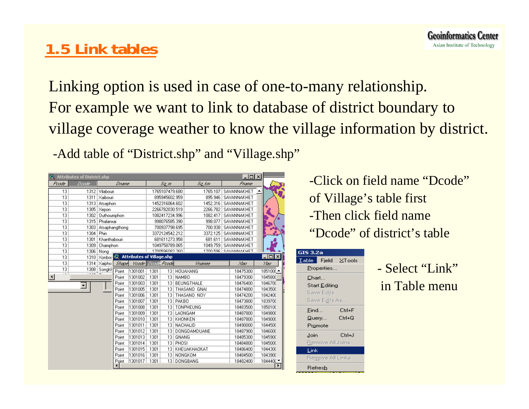## **1.5 Link tables**

Linking option is used in case of one-to-many relationship. For example we want to link to database of district boundary to village coverage weather to know the village information by district.

-Add table of "District.shp" and "Village.shp"

|       | <b>Attributes of District.shp</b> |                            |                     |                                  |      |                |             |                   |  | $ \Box$ $\times$     |                  |
|-------|-----------------------------------|----------------------------|---------------------|----------------------------------|------|----------------|-------------|-------------------|--|----------------------|------------------|
| Poode | Doode                             |                            | <u> Dname</u>       |                                  |      | Sa m           |             | Sa km             |  | Рпате                |                  |
| 13    |                                   | 1312 Vilabouri             |                     |                                  |      | 1765107479.680 |             | 1765.107          |  | SAVANNAKHET          |                  |
| 13    |                                   | 1311 <sup> </sup> Xaibouri |                     |                                  |      | 895945602.959  |             |                   |  | 895.946 SAVANNAKHET  |                  |
| 13    |                                   | 1313   Atsaphon            |                     |                                  |      | 1452316064.602 |             | 1452.316          |  | SAVANNAKHET          |                  |
| 13    |                                   | 1305   Xepon               |                     |                                  |      | 2266782030.519 |             | 2266.782          |  | SAVANNAKHET          |                  |
| 13    |                                   | 1302 Duthoumphon           |                     |                                  |      | 1082417234.996 |             | 1082.417          |  | SAVANNAKHET          |                  |
| 13    |                                   | 1315 Phalanxai             |                     |                                  |      | 998076585.390  |             | 998.077           |  | SAVANNAKHET          |                  |
| 13    |                                   |                            | 1303 Atsaphangthong |                                  |      | 700937798.695  |             | 700.938           |  | SAVANNAKHET          |                  |
| 13    | 1304 i Phin                       |                            |                     |                                  |      | 3372124542.212 |             | 3372.125          |  | SAVANNAKHET          |                  |
| 13    |                                   | 1301 : Khanthabouri        |                     |                                  |      | 681611273.958  |             | 681.611           |  | SAVANNAKHET          |                  |
| 13    |                                   | 1309 Champhon              |                     |                                  |      | 1049758789.065 |             |                   |  | 1049.759 SAVANNAKHET |                  |
| 13    |                                   | 1306 Nong                  |                     |                                  |      | 1700596082.260 |             |                   |  | 1700 596 SAVANNAKHET |                  |
| 13    |                                   | 1310   Xonbol              | K)                  | <b>Attributes of Village.shp</b> |      |                |             |                   |  |                      | $ \Box$ $\times$ |
| 13    |                                   | 1314 Xaipho                | <b>Shape</b>        | Voode                            |      | Deade Peade    |             | Vhamee            |  | ХХэа                 | Ува              |
| 13    |                                   | 1308 Songkh                | Point               | 1301001                          | 1301 |                |             | 13 HOUAXANG       |  | 18475300             | 1851000          |
|       |                                   |                            | Point               | 1301002                          | 1301 |                | 13 NAMBO    |                   |  | 18479300             | 1845800          |
|       | ▼∣                                |                            | Point               | 1301003                          | 1301 |                |             | 13 BEUNGTHALE     |  | 18476400             | 1846700          |
|       |                                   |                            | Point               | 1301005                          | 1301 |                |             | 13 THASANO GNAI   |  | 18474800             | 1843500          |
|       |                                   |                            | Point               | 1301006                          | 1301 |                |             | 13 THASANO NOY    |  | 18474200             | 1842400          |
|       |                                   |                            | Point               | 1301007                          | 1301 |                | 13 PAKBO    |                   |  | 18473800             | 1839700          |
|       |                                   |                            | Point               | 1301008                          | 1301 |                |             | 13   TONPHEUNG    |  | 18483500             | 1850100          |
|       |                                   |                            | Point               | 1301009                          | 1301 |                | 13 LAONGAM  |                   |  | 18487800             | 1849800          |
|       |                                   |                            | Point               | 1301010                          | 1301 |                | 13 KHONKEN  |                   |  | 18487800             | 1849000          |
|       |                                   |                            | Point               | 1301011                          | 1301 |                | 13 NACHALID |                   |  | 18490000             | 1844500          |
|       |                                   |                            | Point               | 1301012                          | 1301 |                |             | 13   DONGDAMDUANE |  | 18487900             | 1846000          |
|       |                                   |                            | Point               | 1301013                          | 1301 |                | 13 GNANG    |                   |  | 18485300             | 1845900          |
|       |                                   |                            | Point               | 1301014                          | 1301 |                | 13 PHOSI    |                   |  | 18484800             | 1845000          |
|       |                                   |                            | Point               | 1301015                          | 1301 |                |             | 13 KHEUAKHAOKAT   |  | 18486400             | 1844300          |
|       |                                   |                            | Point               | 1301016                          | 1301 |                |             | 13 NONGKOM        |  | 18484500             | 1843900          |
|       |                                   |                            | Point.              | $1301017$   1301                 |      |                |             | 13 DONGBANG       |  | 18482400             | 1844400 $-$      |

-Click on field name "Dcode"of Village's table first -Then click field name "Dcode" of district's table

| GIS 3.2a         |                       |                |  |  |  |  |  |  |  |  |  |  |
|------------------|-----------------------|----------------|--|--|--|--|--|--|--|--|--|--|
| <b>I</b> able    |                       | ∣ Fjeld ⊻Tools |  |  |  |  |  |  |  |  |  |  |
|                  | Properties            |                |  |  |  |  |  |  |  |  |  |  |
| Chart            |                       |                |  |  |  |  |  |  |  |  |  |  |
|                  | Start <u>E</u> diting |                |  |  |  |  |  |  |  |  |  |  |
|                  | Save Edits            |                |  |  |  |  |  |  |  |  |  |  |
|                  | Save Edits As         |                |  |  |  |  |  |  |  |  |  |  |
| Eind             |                       | Ctrl+F         |  |  |  |  |  |  |  |  |  |  |
| $\mathsf{Query}$ |                       | Ctrl+Q         |  |  |  |  |  |  |  |  |  |  |
|                  | Promote               |                |  |  |  |  |  |  |  |  |  |  |
| Join             |                       | Ctrl+J         |  |  |  |  |  |  |  |  |  |  |
|                  | Remove All Joins      |                |  |  |  |  |  |  |  |  |  |  |
| Link             |                       |                |  |  |  |  |  |  |  |  |  |  |
|                  | Remove All Links      |                |  |  |  |  |  |  |  |  |  |  |
|                  | Refresh               |                |  |  |  |  |  |  |  |  |  |  |

- Select "Link"in Table menu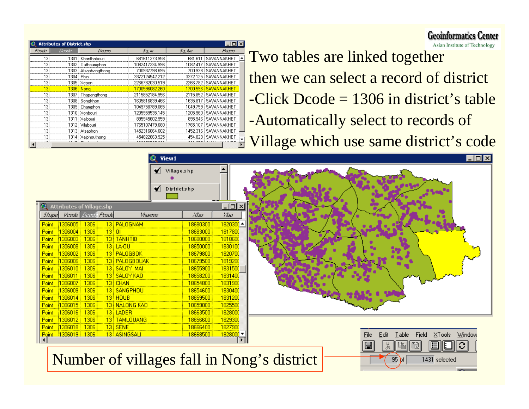|       | <b>Attributes of District.shp</b> |                     |                |          |                        |
|-------|-----------------------------------|---------------------|----------------|----------|------------------------|
| Poode | Deade,                            | <i>Dname</i>        | Sq_m           | Sq_km    | Ртата                  |
| 13    | 1301                              | Khanthabouri        | 681611273.958  |          | 681.611 SAVANNAKHET    |
| 13    | 1302                              | Outhoumphon         | 1082417234.996 | 1082.417 | SAVANNAKHET            |
| 13    | 1303                              | Atsaphangthong      | 700937798.695  | 700.938  | i SAVANNAKHET          |
| 13    |                                   | 1304 i Phin         | 3372124542.212 |          | 3372.125   SAVANNAKHET |
| 13    |                                   | 1305   Xepon        | 2266782030.519 |          | 2266.782   SAVANNAKHET |
| 13    |                                   | 1306   Nona         | 1700596082.260 | 1700.596 | SAVANNAKHET            |
| 13    |                                   | 1307   Thapangthong | 2115852184.956 |          | 2115.852 SAVANNAKHET   |
|       |                                   | 1308 Songkhon       | 1635816839.466 |          | 1635.817 SAVANNAKHET   |
|       |                                   | 1309   Champhon     | 1049758789.065 |          | 1049.759 i SAVANNAKHET |
|       |                                   | 1310 i Xonbouri     | 1205959535.145 |          | 1205.960 i SAVANNAKHET |
| 13    | 1311.                             | : Xaibouri          | 895945602.959  |          | 895.946 SAVANNAKHET    |
| 13    | 1312                              | Vilabouri           | 1765107479.680 |          | 1765.107 i SAVANNAKHET |
| 13    | 1313                              | Atsaphon            | 1452316064.602 | 452.316  | i SAVANNAKHET          |
| 13    | 1314                              | Xaiphouthong        | 454822663.925  |          | 454.823 SAVANNAKHET    |
|       |                                   |                     |                |          |                        |

**Q** Attributes of -Voode ||

1306005

1306004 1306003

1306008

1306002

1306006

1306011 130600

1306014

1306015

1306016 1306012

1306018  $|1306019|$ 

**Shape** 

Point:

Point. Point

Point

Point

Point Point

Point Point

Point

Point

**Point** 

Asian Institute of Technology Two tables are linked together then we can select a record of district -Click Dcode = 1306 in district's table -Automatically select to records of Village which use same district's code

 $\overline{95}$ of

1431 selected

**Geoinformatics Center** 

|                    |             | 32<br>View1     |                               |                 |
|--------------------|-------------|-----------------|-------------------------------|-----------------|
|                    |             | ◀               | ✔ Village.shp<br>District.shp |                 |
|                    | illage.shp  |                 |                               | <u>니미지</u>      |
|                    | with Points | Vhamee          | ХХэа                          | УЗа             |
| 306 <mark>:</mark> |             | 13 PALOGNAM     | 18680300                      | $1820300 -$     |
| 306                | 13 01       |                 | 18683000                      | 1817800         |
| 306                |             | 13 TANHTIB      | 18680800                      | 1818600         |
| 306                |             | $13$ LA-0U      | 18650000                      | 1830100         |
| 306                |             | 13 PALOGBOK     | 18679800                      | 1820700         |
| 306                |             | 13   PALOGBOUAK | 18679500                      | 1819200         |
| 306 <mark>:</mark> |             | 13 SALOY MAI    | 18655900                      | 1831500         |
| 306                |             | 13 SALOY KAO    | 18658200                      | 1831400         |
| 306                |             | $13$ CHAN       | 18654800                      | 1831900         |
| 306                |             | 13 SANGPHOU     | 18654600                      | 1830400         |
| 306                |             | $13$ HOUB       | 18659500                      | 1831200         |
| 306                |             | 13 NALONG KAO   | 18659800                      | 1825500         |
| 306                |             | 13 LADER        | 18663500                      | 1828000         |
| 306 <mark>:</mark> |             | 13   TAMLOUANG  | 18656600                      | 1829300         |
| 306                |             | $13$ SENE       | 18666400                      | 1827900         |
| 306 i              |             | 13 ASINGSALI    | 18668500                      | $182800$ $\sim$ |
|                    |             |                 |                               | $\mathbf{F}$    |
|                    |             |                 |                               |                 |

#### Number of villages fall in Nong's district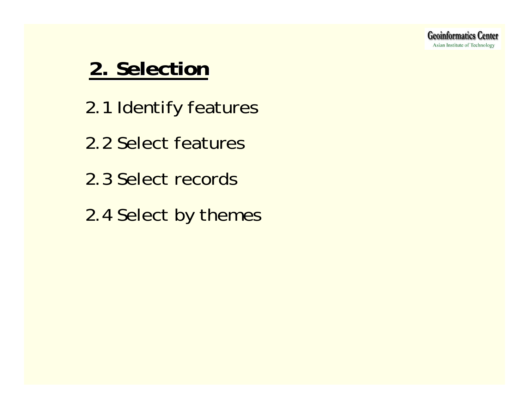## **2. Selection 2. Selection**

- 2.1 Identify features
- 2.2 Select features
- 2.3 Select records
- 2.4 Select by themes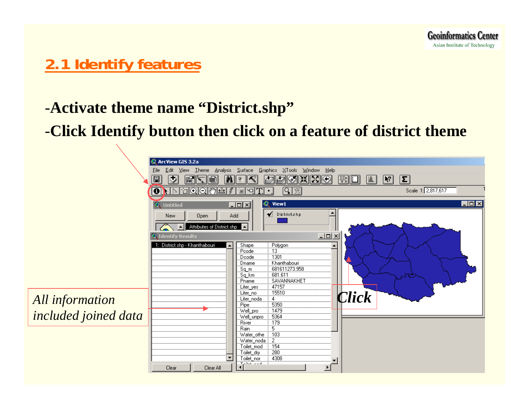## **2.1 Identify features**

#### -**Activate theme name "District.shp"**

### -**Click Identify button then click on a feature of district theme**

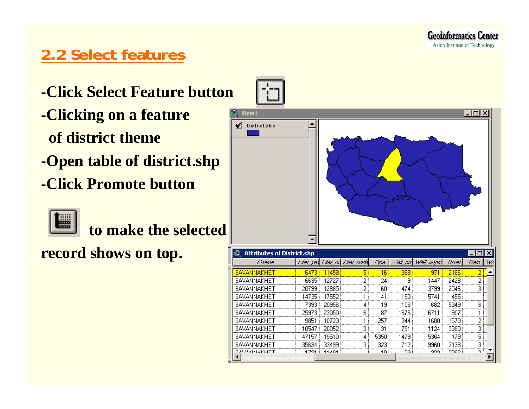### **2.2 Select features**

- **-Click Select Feature button**
- **-Clicking on a feature of district theme**
- **-Open table of district.shp**
- **-Click Promote button**



**to make the selected**

CAVAMMAVUET

**record shows on top.**



 $10<sup>1</sup>$ 

 $29.$ 

 $2221$ 

 $2200$ 

эI

 $1701$   $+11401$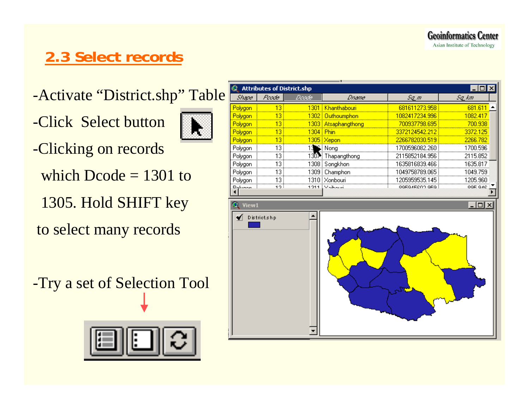#### **Geoinformatics Center** Asian Institute of Technology

## **2.3 Select records**

- -Activate "District.shp" Table
- -Click Select button



- -Clicking on records
	- which Dcode = 1301 to
	- 1305. Hold SHIFT key
- to select many records
- -Try a set of Selection Tool



|         | <b>Attributes of District.shp</b> |           | ٠.                     |                | $\Box$ o $\boxtimes$ |
|---------|-----------------------------------|-----------|------------------------|----------------|----------------------|
| Shape   | Poode                             | Doode     | <b>Dname</b>           | $Sq$ $m$       | Sq_km                |
| Polygon | 13 <sup>°</sup>                   |           | 1301 Khanthabouri      | 681611273.958  | 681.611              |
| Polygon | 13                                |           | 1302 Outhoumphon       | 1082417234.996 | 1082.417             |
| Polygon | 13                                |           | 1303 Atsaphangthong    | 700937798.695  | 700.938              |
| Polygon | 13                                | 1304 Phin |                        | 3372124542.212 | 3372.125             |
| Polygon | 13                                |           | 1305 Xepon             | 2266782030.519 | 2266.782             |
| Polygon | 13                                | 13        | $S$ Nong               | 1700596082.260 | 1700.596             |
| Polygon | 13                                |           | 1307 Thapangthong      | 2115852184.956 | 2115.852             |
| Polygon | 13                                |           | 1308   Songkhon        | 1635816839.466 | 1635.817             |
| Polygon | 13                                |           | 1309   Champhon        | 1049758789.065 | 1049.759             |
| Polygon | 13                                |           | 1310   Xonbouri        | 1205959535.145 | 1205.960             |
| Dolugan | 1つ :                              |           | <u> 1911 (Valbouri</u> | OGROVECAN ORG. | OOF OAC              |
|         |                                   |           |                        |                |                      |
| View1   |                                   |           |                        |                | $\Box$ ol $\times$   |
|         | District.shp                      |           |                        |                |                      |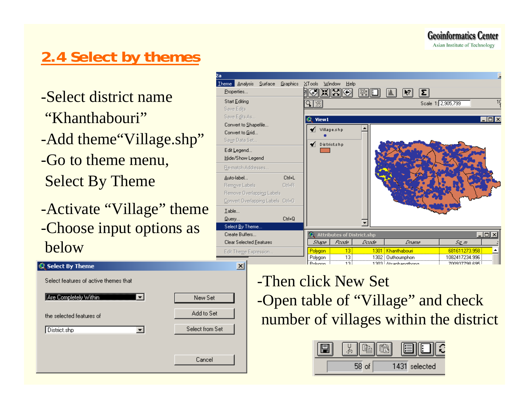**Geoinformatics Center** 

#### Asian Institute of Technology

## **2.4 Select by themes**

- -Select district name"Khanthabouri"
- -Add theme"Village.shp" -Go to theme menu, Select By Theme
- -Activate "Village" theme -Choose input options as below

#### Theme Analysis Surface Graphics XTools Window Help <u>igking</u> Properties.. I ≋\* II ⊟I Ià.  $\overline{R}$  $\overline{\mathbf{z}}$ । Start Editing Scale 1: 2,905,799 ৭!⊛ Save Edits Save Edits As. **Q** View1 - 0 × Convert to Shapefile...  $\blacklozenge$  Village.shp Convert to Grid. Saye Data Set. District.shp Edit Legend... Hide/Show Legend Re-match Addresses. Auto-label...  $C$ trl+L Ctrl+B Remove Labels Remove Overlapping Labels Convert Overlapping Labels Ctrl+O Iable...  $Query.$  $C$ trl+Q Select By Theme. Create Buffers... **3** Attributes of District.shp - I미 ×I Clear Selected Features Shape | Poode Deade<sub></sub> Dname Sq\_m 681611273.958  $13<sub>1</sub>$ 1301 Khanthabouri Polygon Edit Theme Expression. Polygon 1302 Duthoumphon 13 1082417234.996 -<br>12 ...................<br>Dolugos 1303 Ateaphanothono 700927790.096  $\vert x \vert$

- Select By Theme Select features of active themes that Are Completely Within  $\overline{\phantom{a}}$ New Set Add to Set the selected features of Select from Set District.shp  $\overline{\mathbf{r}}$ Cancel
- -Then click New Set -Open table of "Village" and check number of villages within the district

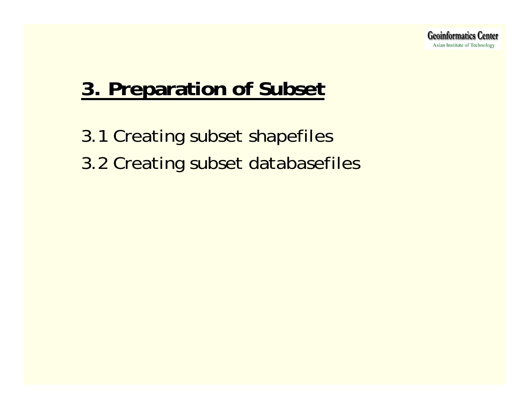## **3. Preparation of Subset 3. Preparation of Subset**

3.1 Creating subset shapefiles 3.2 Creating subset databasefiles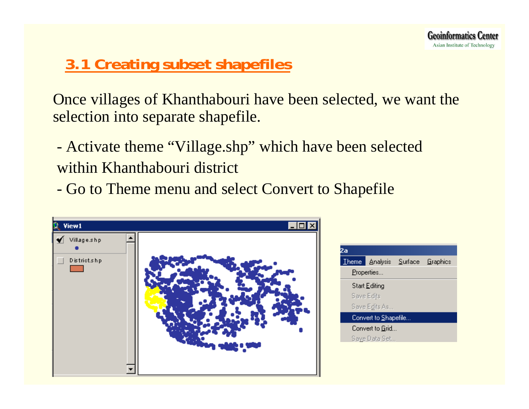## **3.1 Creating subset shapefiles**

Once villages of Khanthabouri have been selected, we want the selection into separate shapefile.

- Activate theme "Village.shp" which have been selected within Khanthabouri district
- Go to Theme menu and select Convert to Shapefile

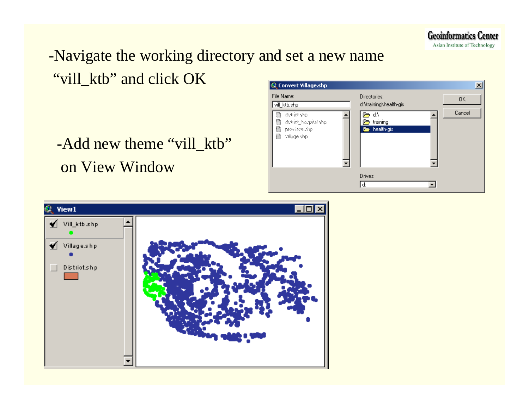

## -Navigate the working directory and set a new name "vill\_ktb" and click OK

-Add new theme "vill\_ktb" on View Window



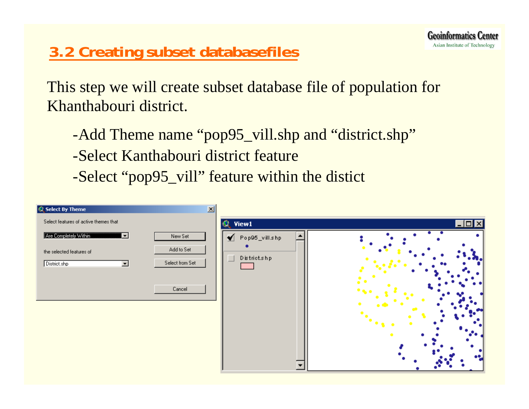## **3.2 Creating subset databasefiles**

This step we will create subset database file of population for Khanthabouri district.

-Add Theme name "pop95\_vill.shp and "district.shp"

-Select Kanthabouri district feature

-Select "pop95\_vill" feature within the distict

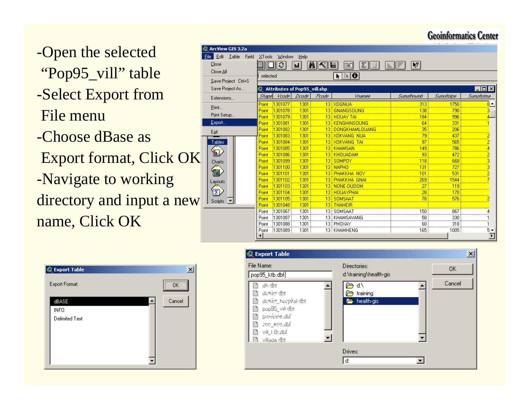#### **Geoinformatics Center**

-Open the selected "Pop95\_vill" table -Select Export from File menu-Choose dBase as Export format, Click OK -Navigate to working directory and input a new  $\Box$ name, Click OK

| <b>E</b> ArcView GIS 3.2a              |               |                                     |       |       |                                                                              |                           |            | 22.777                  |  |  |  |  |  |
|----------------------------------------|---------------|-------------------------------------|-------|-------|------------------------------------------------------------------------------|---------------------------|------------|-------------------------|--|--|--|--|--|
| Edit<br><b>I</b> able<br>Fjeld<br>Eile | <b>XTools</b> | Window                              | Help  |       |                                                                              |                           |            |                         |  |  |  |  |  |
| Close                                  |               | €                                   | in    | MKI   | $\mathbb{Z}$ $\parallel$<br>$\begin{matrix} \end{matrix}$<br><b>BKI</b><br>L | ¢<br>$  \cdot  $<br>ilir. |            |                         |  |  |  |  |  |
| Close All                              |               |                                     |       |       |                                                                              |                           |            |                         |  |  |  |  |  |
|                                        | selected      |                                     |       |       | R R O                                                                        |                           |            |                         |  |  |  |  |  |
| Save Project Ctrl+S                    |               | <b>Attributes of Pop95 vill.shp</b> |       |       |                                                                              |                           |            |                         |  |  |  |  |  |
| Save Project As                        |               |                                     |       |       |                                                                              |                           |            | $\Box$ o $\boxtimes$    |  |  |  |  |  |
| Extensions                             | <b>Shape</b>  | Voode                               | Doode | Poode | Vinamee                                                                      | Sumathnumb                | Sumaltatpe | Sumaltatma              |  |  |  |  |  |
| Print                                  | Point         | 1301077                             | 1301  |       | 13 XOGNUA                                                                    | 313                       | 1750       | $8 -$                   |  |  |  |  |  |
|                                        | Point         | 1301078                             | 1301  |       | 13 GNANGSOUNG                                                                | 138                       | 790        |                         |  |  |  |  |  |
| Print Setup                            | Point         | 1301079                             | 1301  |       | 13 HOUAY TAI                                                                 | 184                       | 996        |                         |  |  |  |  |  |
| Export                                 | Point         | 1301081                             | 1301  |       | 13 KENGHINSOUNG                                                              | 64                        | 331        |                         |  |  |  |  |  |
| Exit                                   | Point         | 1301082                             | 1301  | 13!   | <b>DONGKHAMLOUANG</b>                                                        | 35                        | 206        |                         |  |  |  |  |  |
|                                        | Point         | 1301083                             | 1301  |       | 13 XOKVANG NUA                                                               | 79                        | 437        |                         |  |  |  |  |  |
| Tables                                 | Point         | 1301084                             | 1301  |       | 13 XOKVANG TAI                                                               | 97                        | 565        | 2                       |  |  |  |  |  |
| ln)                                    | Point         | 1301085                             | 1301  |       | 13 KHAMSAN                                                                   | 149                       | 786        |                         |  |  |  |  |  |
|                                        | Point         | 1301086                             | 1301  |       | 13 KHOUADAM                                                                  | 93                        | 472        | 2                       |  |  |  |  |  |
| Charts                                 | Point         | 1301099                             | 1301  |       | 13 SOMPOY                                                                    | 118                       | 668        |                         |  |  |  |  |  |
|                                        | Point         | 1301100                             | 1301  |       | 13 NAPHO                                                                     | 131                       | 727        |                         |  |  |  |  |  |
| 嗣                                      | Point         | 1301101                             | 1301  |       | 13 PHAKKHA NOY                                                               | 101                       | 531        |                         |  |  |  |  |  |
| Layouts                                | Point         | 1301102                             | 1301  |       | 13 PHAKKHA GNAI                                                              | 269                       | 1544       |                         |  |  |  |  |  |
|                                        | Point         | 1301103                             | 1301  |       | 13 NONE-OUDOM                                                                | 27                        | 119        |                         |  |  |  |  |  |
| T.                                     | Point         | 1301104                             | 1301  |       | 13 HOUAYPHAI                                                                 | 28                        | 170        |                         |  |  |  |  |  |
| Scripts<br>▾                           | Point         | 1301105                             | 1301  |       | 13 SOMSAAT                                                                   | 78                        | 576        |                         |  |  |  |  |  |
|                                        | Point         | 1301048                             | 1301  |       | 13 THAHEIR                                                                   |                           |            |                         |  |  |  |  |  |
|                                        | Point         | 1301067                             | 1301  |       | 13 SOMSAAT                                                                   | 150                       | 867        |                         |  |  |  |  |  |
|                                        | Point         | 1301087                             | 1301  |       | 13   KHAMSAVANG                                                              | 58                        | 330        |                         |  |  |  |  |  |
|                                        | Point         | 1301088                             | 1301  |       | 13 PHOXAY                                                                    | 60                        | 318        |                         |  |  |  |  |  |
|                                        | Point         | 1301089                             | 1301  |       | 13 KHAMHENG                                                                  | 165                       | 1005       | 5 ▼                     |  |  |  |  |  |
|                                        |               |                                     |       |       |                                                                              |                           |            | $\overline{\mathbf{r}}$ |  |  |  |  |  |



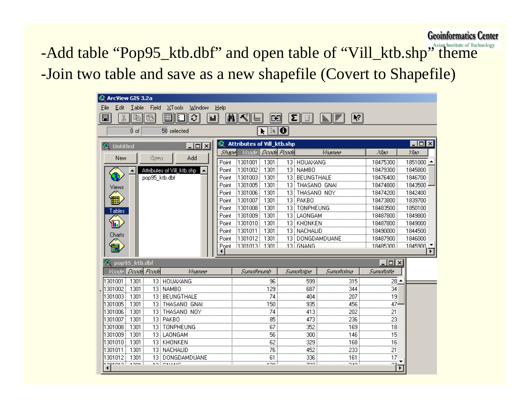**Geoinformatics Center** 

-Add table "Pop95\_ktb.dbf" and open table of "Vill\_ktb.shp" theme -Join two table and save as a new shapefile (Covert to Shapefile)

| Edit<br><b>I</b> able<br>Window<br>Fjeld<br>XTools<br>Help<br>Eile<br>$\mathbb{Q}_p$<br>€<br>圓<br>ÿ,<br>E<br>Q<br>AA I<br>$\blacktriangleright$ $\boldsymbol{\mathsf{P}}$<br>∣<<br>Σ∥<br>Ba<br>₹<br>il.<br>₿<br>I≹   ⊖ <br>0 <sub>o</sub><br>58 selected<br>ĸ<br>$\overline{\Box}$ olxi<br><b>Attributes of Vill_ktb.shp</b><br>32<br>- 미지<br><b>Untitled</b><br>Doods Poods<br>Voode<br>Shapel<br>Жэл<br>Ужа<br>ynamee<br>Add<br>New<br>Ocen<br>1851000 -<br>1301001<br>1301<br>13 HOUAXANG<br>18475300<br>Point<br>13 NAMBO<br>1301002<br>1301<br>18479300<br>1845800<br>Attributes of Vill_ktb.shp<br>Point<br>pop95_ktb.dbf<br>1301003<br>13 BEUNGTHALE<br>1301<br>18476400<br>1846700<br>Point<br>1301005<br>1301<br>13 FHASANO GNAI<br>1843500<br>18474800<br>Point<br>Views<br>1301006<br>13 THASANO NOY<br>1842400<br>1301<br>18474200<br>Point<br>13   PAKBO<br>1301007<br>1301<br>18473800<br>1839700<br>Point<br>1301008<br>1301<br>13   TONPHEUNG<br>18483500<br>1850100<br>Point<br>Tables<br>1301009<br>1301<br>13   LAONGAM<br>1849800<br>18487800<br>Point<br>1849000<br>h<br>1301010<br>1301<br>13 KHONKEN<br>18487800<br>Point<br>1301011<br>1301<br>13 NACHALID<br>1844500<br>18490000<br>Point<br>Charts<br>1846000<br> 1301012 <br>1301<br>13 DONGDAMDUANE<br>18487900<br>Point<br>Point   1301013   1301  <br>13 SNANG<br>18485300<br>1845900 $\sqrt{2}$<br>pop95_ktb.dbf<br><u> - 미지</u> |  |
|-----------------------------------------------------------------------------------------------------------------------------------------------------------------------------------------------------------------------------------------------------------------------------------------------------------------------------------------------------------------------------------------------------------------------------------------------------------------------------------------------------------------------------------------------------------------------------------------------------------------------------------------------------------------------------------------------------------------------------------------------------------------------------------------------------------------------------------------------------------------------------------------------------------------------------------------------------------------------------------------------------------------------------------------------------------------------------------------------------------------------------------------------------------------------------------------------------------------------------------------------------------------------------------------------------------------------------------------------------------------------------------------------------------------|--|
|                                                                                                                                                                                                                                                                                                                                                                                                                                                                                                                                                                                                                                                                                                                                                                                                                                                                                                                                                                                                                                                                                                                                                                                                                                                                                                                                                                                                                 |  |
|                                                                                                                                                                                                                                                                                                                                                                                                                                                                                                                                                                                                                                                                                                                                                                                                                                                                                                                                                                                                                                                                                                                                                                                                                                                                                                                                                                                                                 |  |
|                                                                                                                                                                                                                                                                                                                                                                                                                                                                                                                                                                                                                                                                                                                                                                                                                                                                                                                                                                                                                                                                                                                                                                                                                                                                                                                                                                                                                 |  |
|                                                                                                                                                                                                                                                                                                                                                                                                                                                                                                                                                                                                                                                                                                                                                                                                                                                                                                                                                                                                                                                                                                                                                                                                                                                                                                                                                                                                                 |  |
|                                                                                                                                                                                                                                                                                                                                                                                                                                                                                                                                                                                                                                                                                                                                                                                                                                                                                                                                                                                                                                                                                                                                                                                                                                                                                                                                                                                                                 |  |
|                                                                                                                                                                                                                                                                                                                                                                                                                                                                                                                                                                                                                                                                                                                                                                                                                                                                                                                                                                                                                                                                                                                                                                                                                                                                                                                                                                                                                 |  |
|                                                                                                                                                                                                                                                                                                                                                                                                                                                                                                                                                                                                                                                                                                                                                                                                                                                                                                                                                                                                                                                                                                                                                                                                                                                                                                                                                                                                                 |  |
|                                                                                                                                                                                                                                                                                                                                                                                                                                                                                                                                                                                                                                                                                                                                                                                                                                                                                                                                                                                                                                                                                                                                                                                                                                                                                                                                                                                                                 |  |
|                                                                                                                                                                                                                                                                                                                                                                                                                                                                                                                                                                                                                                                                                                                                                                                                                                                                                                                                                                                                                                                                                                                                                                                                                                                                                                                                                                                                                 |  |
|                                                                                                                                                                                                                                                                                                                                                                                                                                                                                                                                                                                                                                                                                                                                                                                                                                                                                                                                                                                                                                                                                                                                                                                                                                                                                                                                                                                                                 |  |
|                                                                                                                                                                                                                                                                                                                                                                                                                                                                                                                                                                                                                                                                                                                                                                                                                                                                                                                                                                                                                                                                                                                                                                                                                                                                                                                                                                                                                 |  |
|                                                                                                                                                                                                                                                                                                                                                                                                                                                                                                                                                                                                                                                                                                                                                                                                                                                                                                                                                                                                                                                                                                                                                                                                                                                                                                                                                                                                                 |  |
|                                                                                                                                                                                                                                                                                                                                                                                                                                                                                                                                                                                                                                                                                                                                                                                                                                                                                                                                                                                                                                                                                                                                                                                                                                                                                                                                                                                                                 |  |
|                                                                                                                                                                                                                                                                                                                                                                                                                                                                                                                                                                                                                                                                                                                                                                                                                                                                                                                                                                                                                                                                                                                                                                                                                                                                                                                                                                                                                 |  |
|                                                                                                                                                                                                                                                                                                                                                                                                                                                                                                                                                                                                                                                                                                                                                                                                                                                                                                                                                                                                                                                                                                                                                                                                                                                                                                                                                                                                                 |  |
|                                                                                                                                                                                                                                                                                                                                                                                                                                                                                                                                                                                                                                                                                                                                                                                                                                                                                                                                                                                                                                                                                                                                                                                                                                                                                                                                                                                                                 |  |
|                                                                                                                                                                                                                                                                                                                                                                                                                                                                                                                                                                                                                                                                                                                                                                                                                                                                                                                                                                                                                                                                                                                                                                                                                                                                                                                                                                                                                 |  |
|                                                                                                                                                                                                                                                                                                                                                                                                                                                                                                                                                                                                                                                                                                                                                                                                                                                                                                                                                                                                                                                                                                                                                                                                                                                                                                                                                                                                                 |  |
|                                                                                                                                                                                                                                                                                                                                                                                                                                                                                                                                                                                                                                                                                                                                                                                                                                                                                                                                                                                                                                                                                                                                                                                                                                                                                                                                                                                                                 |  |
|                                                                                                                                                                                                                                                                                                                                                                                                                                                                                                                                                                                                                                                                                                                                                                                                                                                                                                                                                                                                                                                                                                                                                                                                                                                                                                                                                                                                                 |  |
| Double Pouble<br>Voode<br>ynamee<br>Sumafhnumb<br>Sumallatpe<br>Sumaltalma<br>Sumaltatle                                                                                                                                                                                                                                                                                                                                                                                                                                                                                                                                                                                                                                                                                                                                                                                                                                                                                                                                                                                                                                                                                                                                                                                                                                                                                                                        |  |
| 315<br>301001<br>1301<br>13 HOUAXANG<br>96<br>599<br>28 ≜                                                                                                                                                                                                                                                                                                                                                                                                                                                                                                                                                                                                                                                                                                                                                                                                                                                                                                                                                                                                                                                                                                                                                                                                                                                                                                                                                       |  |
| 301002<br>1301<br>13 NAMBO<br>129<br>687<br>344<br>34                                                                                                                                                                                                                                                                                                                                                                                                                                                                                                                                                                                                                                                                                                                                                                                                                                                                                                                                                                                                                                                                                                                                                                                                                                                                                                                                                           |  |
| 1301003<br>1301<br>74<br>13 BEUNGTHALE<br>404<br>207<br>19                                                                                                                                                                                                                                                                                                                                                                                                                                                                                                                                                                                                                                                                                                                                                                                                                                                                                                                                                                                                                                                                                                                                                                                                                                                                                                                                                      |  |
| 1301005<br>935<br>1301<br>13 THASANO GNAI<br>150<br>456<br>47                                                                                                                                                                                                                                                                                                                                                                                                                                                                                                                                                                                                                                                                                                                                                                                                                                                                                                                                                                                                                                                                                                                                                                                                                                                                                                                                                   |  |
| 74<br>1301006<br>1301<br>13 THASANO NOY<br>413<br>202<br>21                                                                                                                                                                                                                                                                                                                                                                                                                                                                                                                                                                                                                                                                                                                                                                                                                                                                                                                                                                                                                                                                                                                                                                                                                                                                                                                                                     |  |
| 1301007<br>1301<br>13 PAKBO<br>85<br>473<br>236<br>23                                                                                                                                                                                                                                                                                                                                                                                                                                                                                                                                                                                                                                                                                                                                                                                                                                                                                                                                                                                                                                                                                                                                                                                                                                                                                                                                                           |  |
| 13 TONPHEUNG<br>67<br>352<br>1301008<br>1301<br>169<br>18                                                                                                                                                                                                                                                                                                                                                                                                                                                                                                                                                                                                                                                                                                                                                                                                                                                                                                                                                                                                                                                                                                                                                                                                                                                                                                                                                       |  |
| 1301009 i<br>1301<br>13 LAONGAM<br>56<br>300<br>146<br>15                                                                                                                                                                                                                                                                                                                                                                                                                                                                                                                                                                                                                                                                                                                                                                                                                                                                                                                                                                                                                                                                                                                                                                                                                                                                                                                                                       |  |
| 62<br>1301010 !<br>1301<br>329<br>168<br>13 KHONKEN<br>16                                                                                                                                                                                                                                                                                                                                                                                                                                                                                                                                                                                                                                                                                                                                                                                                                                                                                                                                                                                                                                                                                                                                                                                                                                                                                                                                                       |  |
| 21<br>1301011<br>1301<br>13 NACHALID<br>76<br>452<br>233                                                                                                                                                                                                                                                                                                                                                                                                                                                                                                                                                                                                                                                                                                                                                                                                                                                                                                                                                                                                                                                                                                                                                                                                                                                                                                                                                        |  |
| 1301<br>61<br>336<br>17<br>1301012 i<br>13   DONGDAMDUANE<br>161<br>soi cuano                                                                                                                                                                                                                                                                                                                                                                                                                                                                                                                                                                                                                                                                                                                                                                                                                                                                                                                                                                                                                                                                                                                                                                                                                                                                                                                                   |  |
| $\sim$<br>zoo i<br>0.60<br>$^{\circ}7$<br>ogsoso i<br>$+00+1$<br>$\blacktriangleright$                                                                                                                                                                                                                                                                                                                                                                                                                                                                                                                                                                                                                                                                                                                                                                                                                                                                                                                                                                                                                                                                                                                                                                                                                                                                                                                          |  |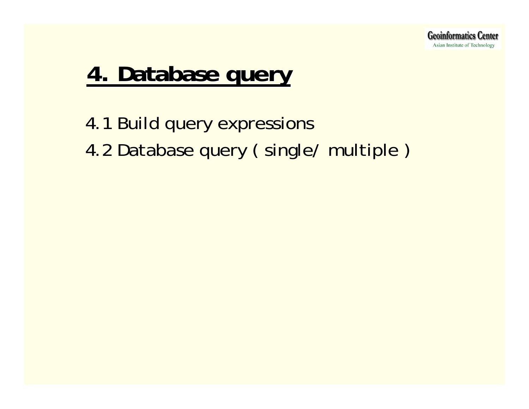

## **4. Database query 4. Database query**

4.1 Build query expressions 4.2 Database query (single/ multiple)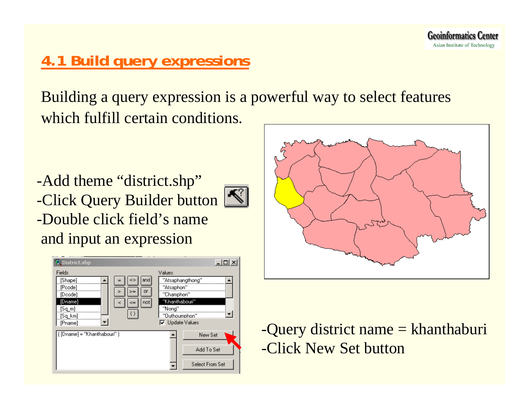## **4.1 Build query expressions**

Building a query expression is a powerful way to select features which fulfill certain conditions.

-Add theme "district.shp" -Click Query Builder button | -Double click field's nameand input an expression





-Query district name = khanthaburi -Click New Set button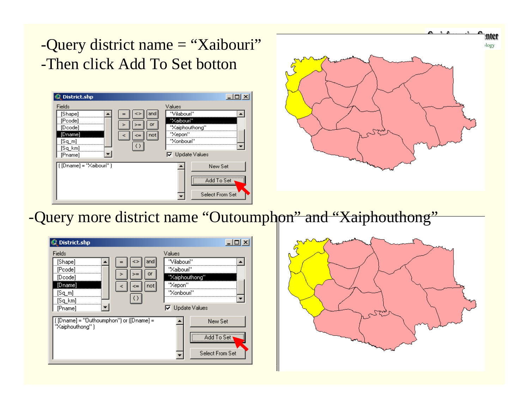## -Query district name = "Xaibouri" -Then click Add To Set botton

| District.shp                                                                       |                  |                                                                                                          |
|------------------------------------------------------------------------------------|------------------|----------------------------------------------------------------------------------------------------------|
| Fields<br>[Shape]<br>[Pcode]<br>[Dcode]<br>[Dname]<br>[Sq_m]<br>[Sq_km]<br>[Pname] | and<br>or<br>not | Values<br>"Vilabouri"<br>"Xaibouri"<br>"Xaiphouthong"<br>"Xepon"<br>"Xonbouri"<br>$\nabla$ Update Values |
| $[$ [Dname] = " $\Xi$ aibouri" ]                                                   |                  | New Set<br>Add To Set<br>Select From Set                                                                 |



#### -Query more district name "Outoumphon" and "Xaiphouthong"



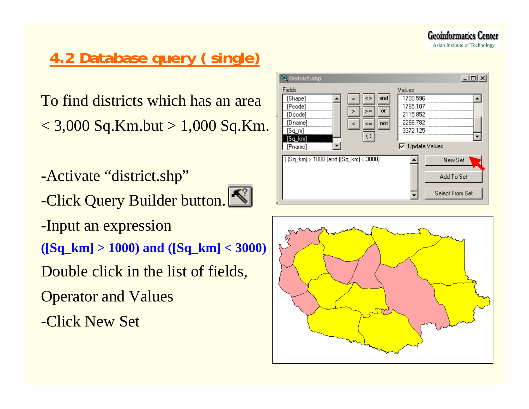**Geoinformatics Center** Asian Institute of Technology

## **4.2 Database query ( single)**

To find districts which has an area  $<$  3,000 Sq.Km.but  $>$  1,000 Sq.Km.

- -Activate "district.shp"
- -Click Query Builder button.



- -Input an expression
- **([Sq\_km] > 1000) and ([Sq\_km] < 3000)**
- Double click in the list of fields,
- Operator and Values
- -Click New Set



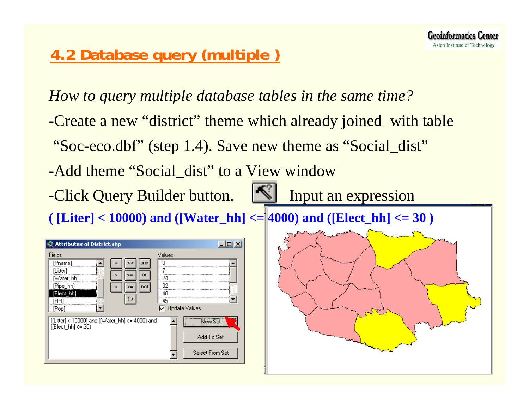## **4.2 Database query (multiple )**

*How to query multiple database tables in the same time?* -Create a new "district" theme which already joined with table "Soc-eco.dbf" (step 1.4). Save new theme as "Social\_dist" -Add theme "Social dist" to a View window -Click Query Builder button. Input an expression  $($  [Liter] < 10000) and ([Water\_hh] <=  $|4000\rangle$  and ([Elect\_hh] <= 30)  $\mathbf{\Omega}$  Attributes of District.shp  $\Box$ D $\times$ Fields Values [Pname]  $\overline{0}$ and **A** [Litter] 7 or [Water hh] 24 [Pipe hh] 32 not [Elect hh] 40  $\langle$ ) 45 [HH] **V** Update Values [Pop] [[[Litter] < 10000) and ([Water\_hh] <= 4000) and New Set  $[IEEE bh] < 30$ Add To Set Select From Set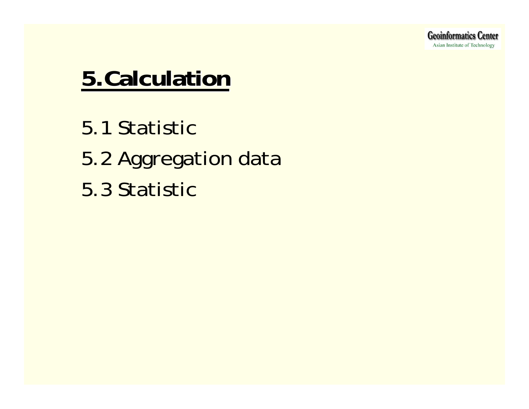## **5.Calculation 5.Calculation**

5.1 Statistic5.2 Aggregation data 5.3 Statistic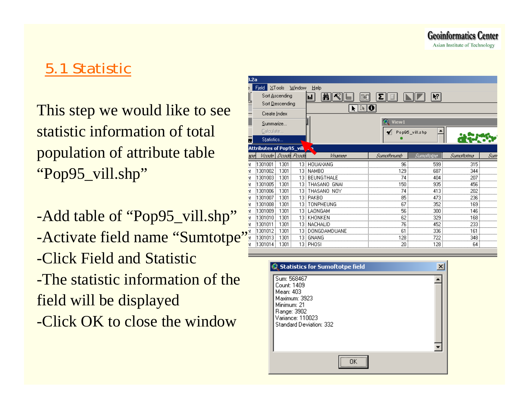## 5.1 Statistic

This step we would like to see statistic information of total population of attribute table "Pop95\_vill.shp"

-Add table of "Pop95\_vill.shp" -Activate field name "Sumtotpe" -Click Field and Statistic-The statistic information of thefield will be displayed -Click OK to close the window

| 8.2a |                                 |                        |        |                   |              |                |            |     |  |
|------|---------------------------------|------------------------|--------|-------------------|--------------|----------------|------------|-----|--|
|      | Fjeld.                          | XTools                 | Window | Help              |              |                |            |     |  |
|      | Sort Ascending<br>Ņ?<br>in I    |                        |        |                   |              |                |            |     |  |
|      | Sort Descending                 |                        |        |                   |              |                |            |     |  |
|      | Create Index                    |                        |        | I≹   O            |              |                |            |     |  |
|      | Summarize                       |                        |        |                   | <b>View1</b> |                |            |     |  |
|      | Calculate                       |                        |        |                   |              |                |            |     |  |
|      | Statistics                      |                        |        |                   |              | Pop95_vill.shp |            |     |  |
|      |                                 |                        |        |                   |              |                |            |     |  |
|      | <b>Attributes of Pop95_vill</b> |                        |        |                   |              |                |            |     |  |
| 308  |                                 | Vicode   Doodel Poodel |        | Vnamee            | Sumothnumb   | Sumallatae     | Sumaftatma | Sum |  |
|      | 1301001                         | 1301                   |        | 13 HOUAXANG       | 96           | 599            | 315        |     |  |
| ٦t   | 1301002                         | 1301                   |        | 13   NAMBO        | 129          | 687            | 344        |     |  |
|      | 1301003                         | 1301                   |        | 13 BEUNGTHALE     | 74           | 404            | 207        |     |  |
| ٦t   | 1301005                         | 1301                   |        | 13 THASANO GNAI   | 150          | 935            | 456        |     |  |
| ٦t   | 1301006                         | 1301                   |        | 13 THASANO NOY    | 74           | 413            | 202        |     |  |
| ٦t   | 1301007                         | 1301                   |        | 13   PAKBO        | 85           | 473            | 236        |     |  |
| ٦t   | 1301008                         | 1301                   |        | 13   TONPHEUNG    | 67           | 352            | 169        |     |  |
| ٦t   | 1301009                         | 1301                   |        | 13 LAONGAM        | 56           | 300            | 146        |     |  |
| ٦t   | 1301010                         | 1301                   |        | 13 i KHONKEN      | 62           | 329            | 168        |     |  |
| ٦t   | 1301011                         | 1301                   |        | 13   NACHALID     | 76           | 452            | 233        |     |  |
|      | 1301012                         | 1301                   |        | 13   DONGDAMDUANE | 61           | 336            | 161        |     |  |
|      | 1301013                         | 1301                   |        | 13 i GNANG        | 128          | 722            | 348        |     |  |
| ht   | 1301014                         | 1301                   |        | 13 i PHOSI        | 20           | 28             | 64         |     |  |
|      |                                 |                        |        |                   |              |                |            |     |  |

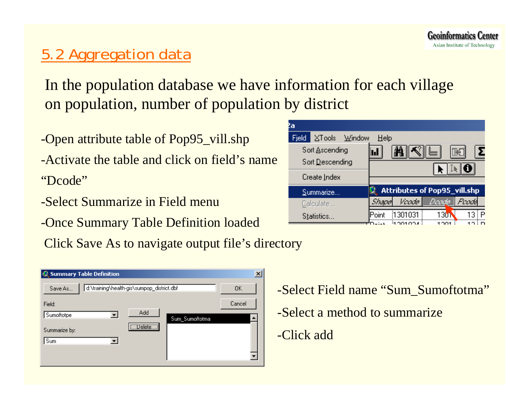## 5.2 Aggregation data

In the population database we have information for each village on population, number of population by district

-Open attribute table of Pop95\_vill.shp

-Activate the table and click on field's name"Dcode"

- -Select Summarize in Field menu
- -Once Summary Table Definition loaded

Click Save As to navigate output file's directory

|               | <b>Summary Table Definition</b> |                                            |                | $\times$ |
|---------------|---------------------------------|--------------------------------------------|----------------|----------|
| Save As       |                                 | d:\training\health-gis\sumpop_district.dbf |                | OΚ       |
| Field:        |                                 |                                            |                | Cancel   |
| Sumoftotpe    |                                 | Add                                        | Sum_Sumoftotma |          |
| Summarize by: |                                 | Uelete J                                   |                |          |
| Sum           |                                 |                                            |                |          |
|               |                                 |                                            |                |          |
|               |                                 |                                            |                |          |



-Select Field name "Sum\_Sumoftotma" -Select a method to summarize-Click add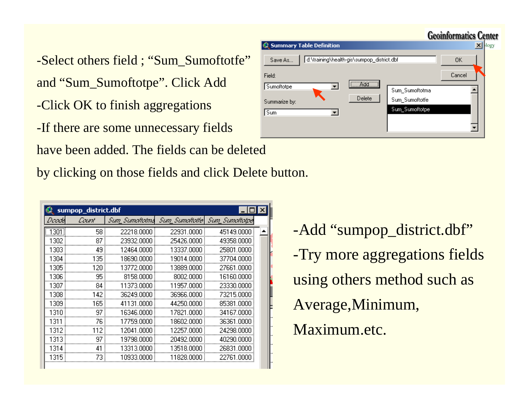-Select others field ; "Sum\_Sumoftotfe" and "Sum\_Sumoftotpe". Click Add -Click OK to finish aggregations -If there are some unnecessary fields

have been added. The fields can be deleted

by clicking on those fields and click Delete button.

|       | lx<br>sumpop_district.dbf |                |                 |                 |  |  |  |
|-------|---------------------------|----------------|-----------------|-----------------|--|--|--|
| Doodk | Count                     | Sum Sumattatma | Sum Sumaltatle\ | Sum Sumallalpel |  |  |  |
| 13011 | 58                        | 22218.0000     | 22931.0000      | 45149.0000      |  |  |  |
| 1302  | 87                        | 23932.0000     | 25426.0000      | 49358.0000      |  |  |  |
| 1303  | 49                        | 12464.0000     | 13337.0000      | 25801.0000      |  |  |  |
| 1304  | 135                       | 18690.0000     | 19014.0000      | 37704.0000      |  |  |  |
| 1305  | 120                       | 13772.0000     | 13889.0000      | 27661.0000      |  |  |  |
| 1306  | 95                        | 8158,0000      | 8002.0000       | 16160.0000      |  |  |  |
| 1307  | 84                        | 11373.0000     | 11957.0000      | 23330.0000      |  |  |  |
| 1308  | 142                       | 36249.0000     | 36966.0000      | 73215.0000      |  |  |  |
| 1309  | 165                       | 41131.0000     | 44250.0000      | 85381.0000      |  |  |  |
| 1310  | 97                        | 16346.0000     | 17821.0000      | 34167.0000      |  |  |  |
| 1311  | 76                        | 17759.0000     | 18602.0000      | 36361.0000      |  |  |  |
| 1312  | 112                       | 12041.0000     | 12257.0000      | 24298.0000      |  |  |  |
| 1313  | 97                        | 19798.0000     | 20492.0000      | 40290.0000      |  |  |  |
| 1314  | 41                        | 13313.0000     | 13518.0000      | 26831.0000      |  |  |  |
| 1315  | 73                        | 10933,0000 i   | 11828.0000      | 22761.0000      |  |  |  |
|       |                           |                |                 |                 |  |  |  |

|               |                                 |                                            |                | <b>Geoinformatics Center</b> |
|---------------|---------------------------------|--------------------------------------------|----------------|------------------------------|
|               | <b>Summary Table Definition</b> |                                            |                | logy                         |
| Save As       |                                 | d:\training\health-gis\sumpop_district.dbf |                | ΟK                           |
| Field:        |                                 |                                            |                | Cancel                       |
| Sumoftotpe    |                                 | $\Box$ Add $\Box$                          | Sum_Sumoftotma |                              |
| Summarize by: |                                 | Delete                                     | Sum_Sumoftotfe |                              |
| Sum           | ▾                               |                                            | Sum_Sumoftotpe |                              |
|               |                                 |                                            |                |                              |
|               |                                 |                                            |                |                              |

-Add "sumpop\_district.dbf" -Try more aggregations fields using others method such as Average,Minimum, Maximum.etc.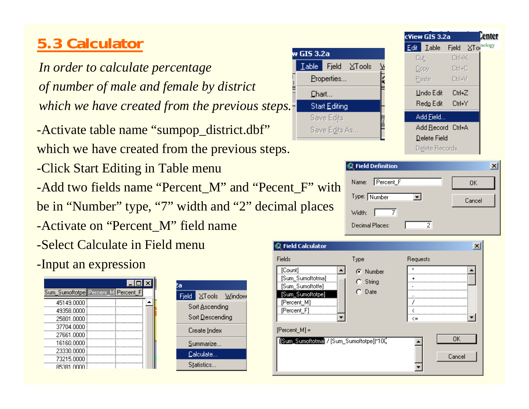## **5.3 Calculator**

*In order to calculate percentage of number of male and female by district which we have created from the previous steps.*

-Activate table name "sumpop\_district.dbf" which we have created from the previous steps.

-Click Start Editing in Table menu

-Add two fields name "Percent\_M" and "Pecent\_F" with be in "Number" type, "7" width and "2" decimal places

-Activate on "Percent\_M" field name

-Select Calculate in Field menu

-Input an expression

| $\Box$ D $\Box$                    |  |
|------------------------------------|--|
| Sum_Sumoftotpe Percenr_M Percent_F |  |
| 45149.0000                         |  |
| 49358.0000                         |  |
| 25801.0000                         |  |
| 37704.0000                         |  |
| 27661.0000                         |  |
| 16160.0000                         |  |
| 23330.0000                         |  |
| 73215.0000                         |  |
| 85381 0000                         |  |

| a |                        |                     |  |  |  |
|---|------------------------|---------------------|--|--|--|
|   |                        | Field XTools Window |  |  |  |
|   | Sort <u>A</u> scending |                     |  |  |  |
|   | Sort Descending        |                     |  |  |  |
|   | Create Index           |                     |  |  |  |
|   | Summarize              |                     |  |  |  |
|   | Calculate              |                     |  |  |  |
|   | Statistics             |                     |  |  |  |

| w GIS 3.2a        |               |              |  |
|-------------------|---------------|--------------|--|
| $\mathbf{I}$ able |               | Fjeld XTools |  |
|                   | Properties    |              |  |
| Chart             |               |              |  |
|                   | Start Editing |              |  |
|                   | Save Edits    |              |  |
|                   | Save Edits As |              |  |

| <b>S.</b>                        | Add <u>R</u> ecord Ctrl+A<br>Delete Field<br>Delete Records |        |  |
|----------------------------------|-------------------------------------------------------------|--------|--|
| <b><i>C</i></b> Field Definition |                                                             |        |  |
| Percent_F<br>Name:               |                                                             | OK     |  |
| Type: Number                     | ▾∣                                                          | Cancel |  |
| Width:                           |                                                             |        |  |
| Decimal Places:                  |                                                             |        |  |

| <b>Q</b> Field Calculator                                                                                                    |                                    | ×                   |
|------------------------------------------------------------------------------------------------------------------------------|------------------------------------|---------------------|
| Fields<br>[Count]<br>[Sum_Sumoftotma]<br>[Sum_Sumoftotfe]<br>[Sum_Sumoftotpe]<br>[Percent_M]<br>[Percent_F]<br>[Percent_M] = | Type<br>C Number<br>String<br>Date | Requests<br>×<br><= |
| [Sum_Sumoftotma] / [Sum_Sumoftotpe])*10C                                                                                     |                                    | OK<br>Cancel        |